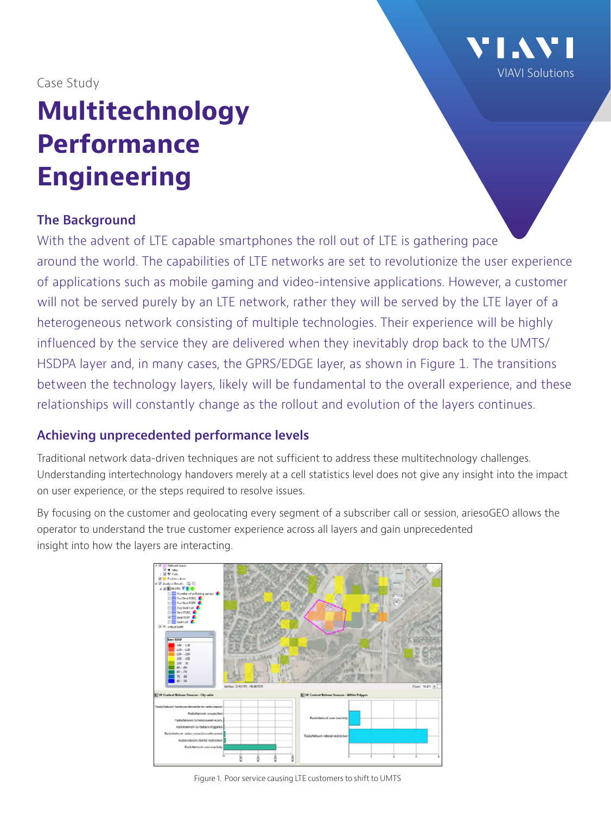[VIAVI Solutions](https://viavisolutions.com)

Case Study

# **Multitechnology Performance Engineering**

#### **The Background**

With the advent of LTE capable smartphones the roll out of LTE is gathering pace around the world. The capabilities of LTE networks are set to revolutionize the user experience of applications such as mobile gaming and video-intensive applications. However, a customer will not be served purely by an LTE network, rather they will be served by the LTE layer of a heterogeneous network consisting of multiple technologies. Their experience will be highly influenced by the service they are delivered when they inevitably drop back to the UMTS/ HSDPA layer and, in many cases, the GPRS/EDGE layer, as shown in Figure 1. The transitions between the technology layers, likely will be fundamental to the overall experience, and these relationships will constantly change as the rollout and evolution of the layers continues.

# **Achieving unprecedented performance levels**

Traditional network data-driven techniques are not sufficient to address these multitechnology challenges. Understanding intertechnology handovers merely at a cell statistics level does not give any insight into the impact on user experience, or the steps required to resolve issues.

By focusing on the customer and geolocating every segment of a subscriber call or session, ariesoGEO allows the operator to understand the true customer experience across all layers and gain unprecedented insight into how the layers are interacting.



Figure 1. Poor service causing LTE customers to shift to UMTS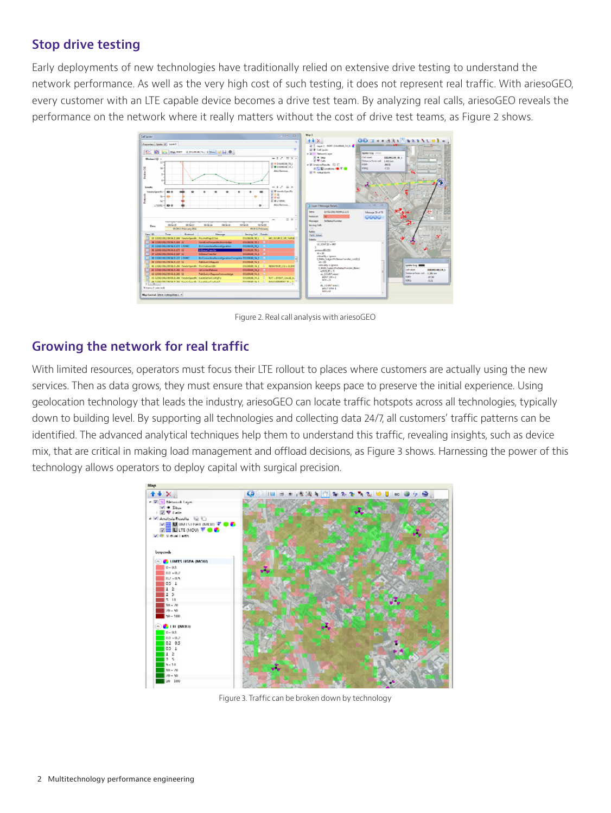### **Stop drive testing**

Early deployments of new technologies have traditionally relied on extensive drive testing to understand the network performance. As well as the very high cost of such testing, it does not represent real traffic. With ariesoGEO, every customer with an LTE capable device becomes a drive test team. By analyzing real calls, ariesoGEO reveals the performance on the network where it really matters without the cost of drive test teams, as Figure 2 shows.



Figure 2. Real call analysis with ariesoGEO

#### **Growing the network for real traffic**

With limited resources, operators must focus their LTE rollout to places where customers are actually using the new services. Then as data grows, they must ensure that expansion keeps pace to preserve the initial experience. Using geolocation technology that leads the industry, ariesoGEO can locate traffic hotspots across all technologies, typically down to building level. By supporting all technologies and collecting data 24/7, all customers' traffic patterns can be identified. The advanced analytical techniques help them to understand this traffic, revealing insights, such as device mix, that are critical in making load management and offload decisions, as Figure 3 shows. Harnessing the power of this technology allows operators to deploy capital with surgical precision.



Figure 3. Traffic can be broken down by technology